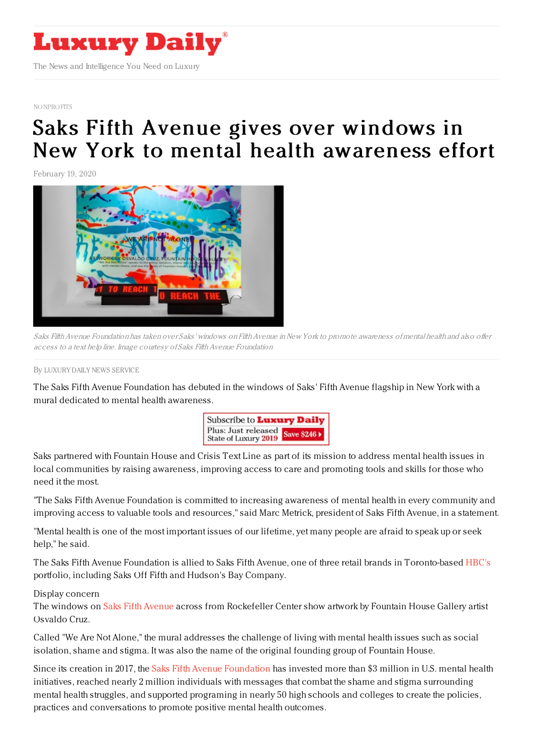

[NONPROFITS](https://www.luxurydaily.com/category/sectors/nonprofits/)

## Saks Fifth Avenue gives over windows in New York to mental health [awareness](https://www.luxurydaily.com/saks-fifth-avenue-foundation-gives-over-windows-in-new-york-to-mental-health-awareness-effort/) effort

February 19, 2020



Saks Fifth Avenue Foundation has taken over Saks' windows on Fifth Avenue in New York to promote awareness of mental health and also offer access to a text help line. Image courtesy of Saks Fifth Avenue Foundation

By LUXURY DAILY NEWS [SERVICE](file:///author/luxury-daily-news-service)

The Saks Fifth Avenue Foundation has debuted in the windows of Saks' Fifth Avenue flagship in New York with a mural dedicated to mental health awareness.



Saks partnered with Fountain House and Crisis Text Line as part of its mission to address mental health issues in local communities by raising awareness, improving access to care and promoting tools and skills for those who need it the most.

"The Saks Fifth Avenue Foundation is committed to increasing awareness of mental health in every community and improving access to valuable tools and resources," said Marc Metrick, president of Saks Fifth Avenue, in a statement.

"Mental health is one of the most important issues of our lifetime, yet many people are afraid to speak up or seek help," he said.

The Saks Fifth Avenue Foundation is allied to Saks Fifth Avenue, one of three retail brands in Toronto-based [HBC's](http://www.hbc.com) portfolio, including Saks Off Fifth and Hudson's Bay Company.

## Display concern

The windows on Saks Fifth [Avenue](http://www.saksfifthavenue.com) across from Rockefeller Center show artwork by Fountain House Gallery artist Osvaldo Cruz.

Called "We Are Not Alone," the mural addresses the challenge of living with mental health issues such as social isolation, shame and stigma. It was also the name of the original founding group of Fountain House.

Since its creation in 2017, the Saks Fifth Avenue [Foundation](http://www.saksfifthavenuefoundation.org) has invested more than \$3 million in U.S. mental health initiatives, reached nearly 2 million individuals with messages that combat the shame and stigma surrounding mental health struggles, and supported programing in nearly 50 high schools and colleges to create the policies, practices and conversations to promote positive mental health outcomes.